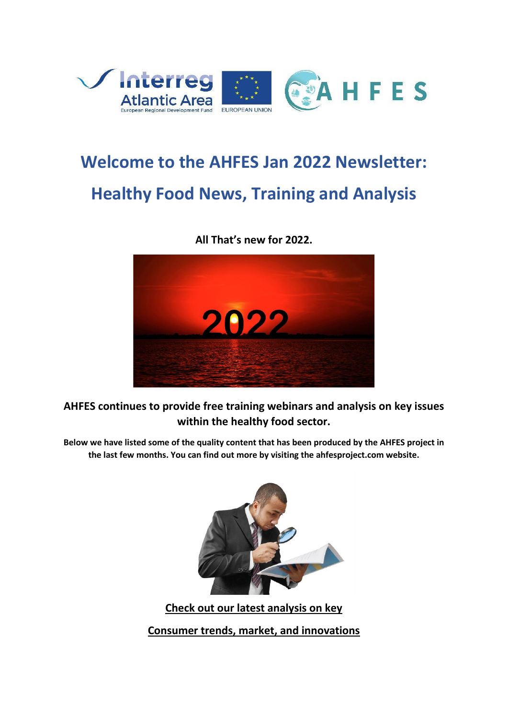

# **Welcome to the AHFES Jan 2022 Newsletter: Healthy Food News, Training and Analysis**

**All That's new for 2022.**



**AHFES continues to provide free training webinars and analysis on key issues within the healthy food sector.**

**Below we have listed some of the quality content that has been produced by the AHFES project in the last few months. You can find out more by visiting the ahfesproject.com website.**



**Check out our latest analysis on key Consumer trends, market, and innovations**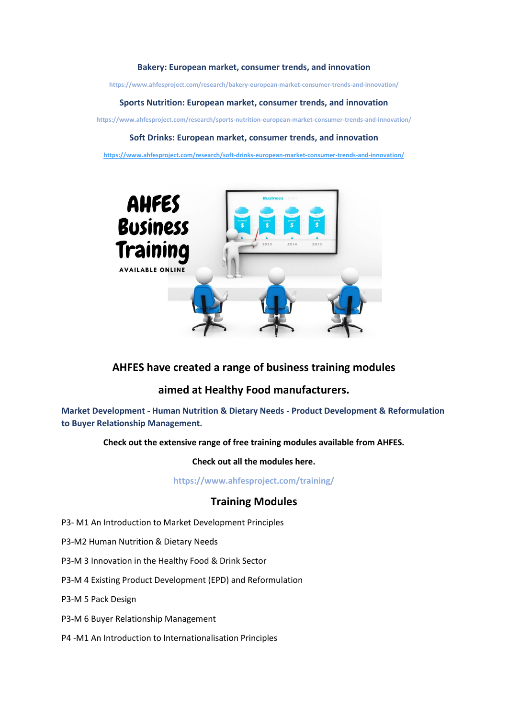#### **Bakery: European market, consumer trends, and innovation**

**https://www.ahfesproject.com/research/bakery-european-market-consumer-trends-and-innovation/**

#### **Sports Nutrition: European market, consumer trends, and innovation**

**https://www.ahfesproject.com/research/sports-nutrition-european-market-consumer-trends-and-innovation/**

#### **Soft Drinks: European market, consumer trends, and innovation**

**<https://www.ahfesproject.com/research/soft-drinks-european-market-consumer-trends-and-innovation/>**



# **AHFES have created a range of business training modules**

# **aimed at Healthy Food manufacturers.**

**Market Development - Human Nutrition & Dietary Needs - Product Development & Reformulation to Buyer Relationship Management.** 

### **Check out the extensive range of free training modules available from AHFES.**

**Check out all the modules here.**

**https://www.ahfesproject.com/training/**

## **Training Modules**

- P3- M1 An Introduction to Market Development Principles
- P3-M2 Human Nutrition & Dietary Needs
- P3-M 3 Innovation in the Healthy Food & Drink Sector
- P3-M 4 Existing Product Development (EPD) and Reformulation
- P3-M 5 Pack Design
- P3-M 6 Buyer Relationship Management
- P4 -M1 An Introduction to Internationalisation Principles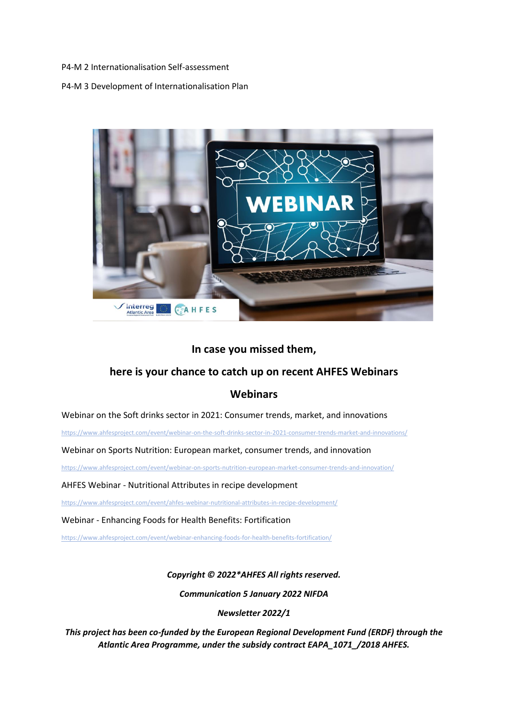P4-M 2 Internationalisation Self-assessment

P4-M 3 Development of Internationalisation Plan



## **In case you missed them,**

# **here is your chance to catch up on recent AHFES Webinars**

# **Webinars**

Webinar on the Soft drinks sector in 2021: Consumer trends, market, and innovations

<https://www.ahfesproject.com/event/webinar-on-the-soft-drinks-sector-in-2021-consumer-trends-market-and-innovations/>

Webinar on Sports Nutrition: European market, consumer trends, and innovation

<https://www.ahfesproject.com/event/webinar-on-sports-nutrition-european-market-consumer-trends-and-innovation/>

AHFES Webinar - Nutritional Attributes in recipe development

<https://www.ahfesproject.com/event/ahfes-webinar-nutritional-attributes-in-recipe-development/>

Webinar - Enhancing Foods for Health Benefits: Fortification

<https://www.ahfesproject.com/event/webinar-enhancing-foods-for-health-benefits-fortification/>

## *Copyright © 2022\*AHFES All rights reserved.*

*Communication 5 January 2022 NIFDA*

*Newsletter 2022/1*

*This project has been co-funded by the European Regional Development Fund (ERDF) through the Atlantic Area Programme, under the subsidy contract EAPA\_1071\_/2018 AHFES.*